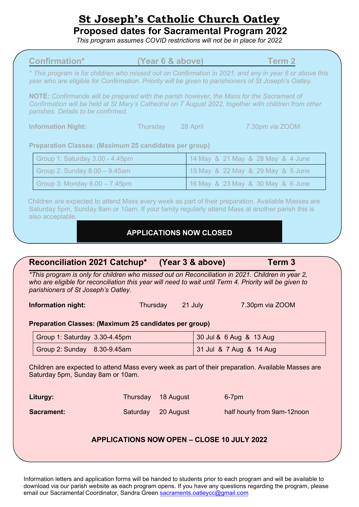# **St Joseph's Catholic Church Oatley**

**Proposed dates for Sacramental Program 2022**

*This program assumes COVID restrictions will not be in place for 2022*

| * This program is for children who missed out on Confirmation in 2021, and any in year 6 or above this<br>year who are eligible for Confirmation. Priority will be given to parishioners of St Joseph's Oatley.<br>NOTE: Confirmande will be prepared with the parish however, the Mass for the Sacrament of<br>Confirmation will be held at St Mary's Cathedral on 7 August 2022, together with children from other<br>parishes. Details to be confirmed. |          |                                |                                   |  |
|------------------------------------------------------------------------------------------------------------------------------------------------------------------------------------------------------------------------------------------------------------------------------------------------------------------------------------------------------------------------------------------------------------------------------------------------------------|----------|--------------------------------|-----------------------------------|--|
|                                                                                                                                                                                                                                                                                                                                                                                                                                                            |          |                                |                                   |  |
|                                                                                                                                                                                                                                                                                                                                                                                                                                                            |          |                                |                                   |  |
| <b>Information Night:</b>                                                                                                                                                                                                                                                                                                                                                                                                                                  |          | Thursday<br>28 April           | 7.30pm via ZOOM                   |  |
| <b>Preparation Classes: (Maximum 25 candidates per group)</b>                                                                                                                                                                                                                                                                                                                                                                                              |          |                                |                                   |  |
| Group 1: Saturday 3.00 - 4.45pm                                                                                                                                                                                                                                                                                                                                                                                                                            |          |                                | 14 May & 21 May & 28 May & 4 June |  |
| Group 2: Sunday 8.00 - 9.45am                                                                                                                                                                                                                                                                                                                                                                                                                              |          |                                | 15 May & 22 May & 29 May & 5 June |  |
| Group 3: Monday 6.00 - 7.45pm                                                                                                                                                                                                                                                                                                                                                                                                                              |          |                                | 16 May & 23 May & 30 May & 6 June |  |
|                                                                                                                                                                                                                                                                                                                                                                                                                                                            |          | <b>APPLICATIONS NOW CLOSED</b> |                                   |  |
| <b>Reconciliation 2021 Catchup*</b><br>*This program is only for children who missed out on Reconciliation in 2021. Children in year 2,<br>who are eligible for reconciliation this year will need to wait until Term 4. Priority will be given to                                                                                                                                                                                                         |          | (Year 3 & above)               | Term <sub>3</sub>                 |  |
|                                                                                                                                                                                                                                                                                                                                                                                                                                                            |          | Thursday<br>21 July            | 7.30pm via ZOOM                   |  |
| Group 1: Saturday 3.30-4.45pm                                                                                                                                                                                                                                                                                                                                                                                                                              |          |                                | 30 Jul & 6 Aug & 13 Aug           |  |
| parishioners of St Joseph's Oatley.<br><b>Information night:</b><br>Preparation Classes: (Maximum 25 candidates per group)<br>Group 2: Sunday 8.30-9.45am                                                                                                                                                                                                                                                                                                  |          |                                | 31 Jul & 7 Aug & 14 Aug           |  |
| Children are expected to attend Mass every week as part of their preparation. Available Masses are<br>Saturday 5pm, Sunday 8am or 10am.<br>Liturgy:                                                                                                                                                                                                                                                                                                        | Thursday | 18 August                      | 6-7pm                             |  |

download via our parish website as each program opens. If you have any questions regarding the program, please email our Sacramental Coordinator, Sandra Green [sacraments.oatleycc@gmail.com](mailto:sacraments.oatleycc@gmail.com)